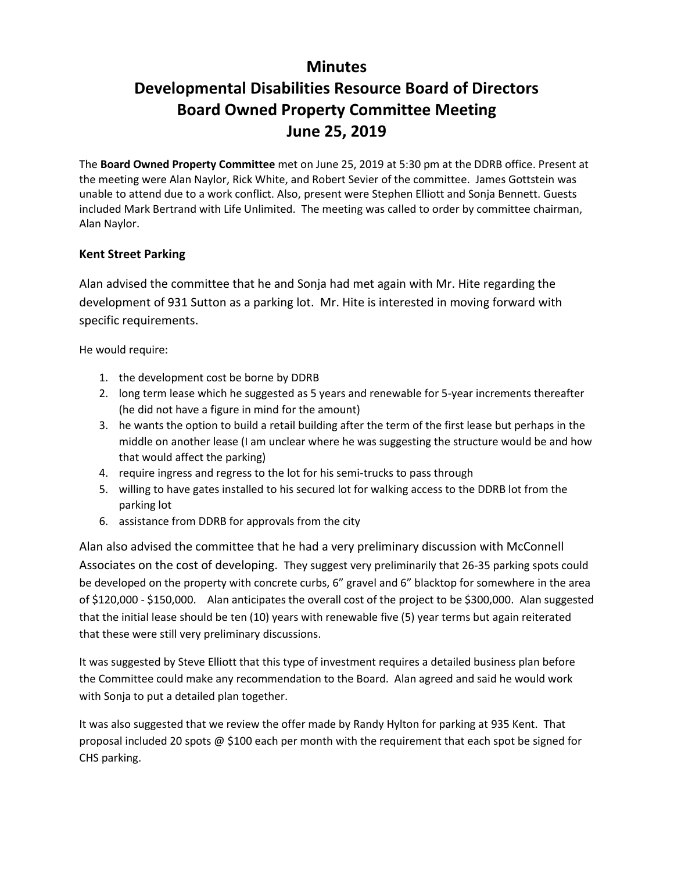## **Minutes**

# **Developmental Disabilities Resource Board of Directors Board Owned Property Committee Meeting June 25, 2019**

The **Board Owned Property Committee** met on June 25, 2019 at 5:30 pm at the DDRB office. Present at the meeting were Alan Naylor, Rick White, and Robert Sevier of the committee. James Gottstein was unable to attend due to a work conflict. Also, present were Stephen Elliott and Sonja Bennett. Guests included Mark Bertrand with Life Unlimited. The meeting was called to order by committee chairman, Alan Naylor.

### **Kent Street Parking**

Alan advised the committee that he and Sonja had met again with Mr. Hite regarding the development of 931 Sutton as a parking lot. Mr. Hite is interested in moving forward with specific requirements.

He would require:

- 1. the development cost be borne by DDRB
- 2. long term lease which he suggested as 5 years and renewable for 5-year increments thereafter (he did not have a figure in mind for the amount)
- 3. he wants the option to build a retail building after the term of the first lease but perhaps in the middle on another lease (I am unclear where he was suggesting the structure would be and how that would affect the parking)
- 4. require ingress and regress to the lot for his semi-trucks to pass through
- 5. willing to have gates installed to his secured lot for walking access to the DDRB lot from the parking lot
- 6. assistance from DDRB for approvals from the city

Alan also advised the committee that he had a very preliminary discussion with McConnell Associates on the cost of developing. They suggest very preliminarily that 26-35 parking spots could be developed on the property with concrete curbs, 6" gravel and 6" blacktop for somewhere in the area of \$120,000 - \$150,000. Alan anticipates the overall cost of the project to be \$300,000. Alan suggested that the initial lease should be ten (10) years with renewable five (5) year terms but again reiterated that these were still very preliminary discussions.

It was suggested by Steve Elliott that this type of investment requires a detailed business plan before the Committee could make any recommendation to the Board. Alan agreed and said he would work with Sonja to put a detailed plan together.

It was also suggested that we review the offer made by Randy Hylton for parking at 935 Kent. That proposal included 20 spots @ \$100 each per month with the requirement that each spot be signed for CHS parking.